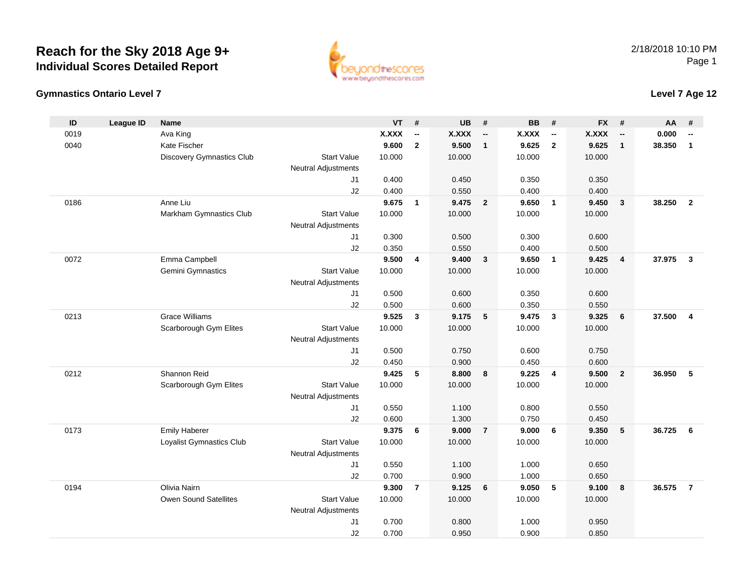Owen Sound Satellites

### **Gymnastics Ontario Level 7**

**ID**

| ID   | League ID | <b>Name</b>                      |                            | VT.          | #                        | UB           | #                        | BВ     | #                        | FX.          | #                        | AA     | #              |
|------|-----------|----------------------------------|----------------------------|--------------|--------------------------|--------------|--------------------------|--------|--------------------------|--------------|--------------------------|--------|----------------|
| 0019 |           | Ava King                         |                            | <b>X.XXX</b> | $\overline{\phantom{a}}$ | <b>X.XXX</b> | $\overline{\phantom{a}}$ | X.XXX  | $\overline{\phantom{a}}$ | <b>X.XXX</b> | $\overline{\phantom{a}}$ | 0.000  |                |
| 0040 |           | Kate Fischer                     |                            | 9.600        | $\mathbf{2}$             | 9.500        | $\mathbf{1}$             | 9.625  | $\overline{2}$           | 9.625        | $\mathbf{1}$             | 38.350 | $\mathbf 1$    |
|      |           | <b>Discovery Gymnastics Club</b> | <b>Start Value</b>         | 10.000       |                          | 10.000       |                          | 10.000 |                          | 10.000       |                          |        |                |
|      |           |                                  | <b>Neutral Adjustments</b> |              |                          |              |                          |        |                          |              |                          |        |                |
|      |           |                                  | J <sub>1</sub>             | 0.400        |                          | 0.450        |                          | 0.350  |                          | 0.350        |                          |        |                |
|      |           |                                  | J <sub>2</sub>             | 0.400        |                          | 0.550        |                          | 0.400  |                          | 0.400        |                          |        |                |
| 0186 |           | Anne Liu                         |                            | 9.675        | $\mathbf{1}$             | 9.475        | $\overline{2}$           | 9.650  | $\mathbf{1}$             | 9.450        | 3                        | 38.250 | $\overline{2}$ |
|      |           | Markham Gymnastics Club          | <b>Start Value</b>         | 10.000       |                          | 10.000       |                          | 10.000 |                          | 10.000       |                          |        |                |
|      |           |                                  | <b>Neutral Adjustments</b> |              |                          |              |                          |        |                          |              |                          |        |                |
|      |           |                                  | J <sub>1</sub>             | 0.300        |                          | 0.500        |                          | 0.300  |                          | 0.600        |                          |        |                |
|      |           |                                  | J2                         | 0.350        |                          | 0.550        |                          | 0.400  |                          | 0.500        |                          |        |                |
| 0072 |           | Emma Campbell                    |                            | 9.500        | 4                        | 9.400        | 3                        | 9.650  | $\mathbf{1}$             | 9.425        | 4                        | 37.975 | 3              |
|      |           | Gemini Gymnastics                | <b>Start Value</b>         | 10.000       |                          | 10.000       |                          | 10.000 |                          | 10.000       |                          |        |                |
|      |           |                                  | <b>Neutral Adjustments</b> |              |                          |              |                          |        |                          |              |                          |        |                |
|      |           |                                  | J <sub>1</sub>             | 0.500        |                          | 0.600        |                          | 0.350  |                          | 0.600        |                          |        |                |
|      |           |                                  | J2                         | 0.500        |                          | 0.600        |                          | 0.350  |                          | 0.550        |                          |        |                |
| 0213 |           | <b>Grace Williams</b>            |                            | 9.525        | 3                        | 9.175        | 5                        | 9.475  | 3                        | 9.325        | 6                        | 37.500 | 4              |
|      |           | Scarborough Gym Elites           | <b>Start Value</b>         | 10.000       |                          | 10.000       |                          | 10.000 |                          | 10.000       |                          |        |                |
|      |           |                                  | Neutral Adjustments        |              |                          |              |                          |        |                          |              |                          |        |                |
|      |           |                                  | J <sub>1</sub>             | 0.500        |                          | 0.750        |                          | 0.600  |                          | 0.750        |                          |        |                |
|      |           |                                  | J <sub>2</sub>             | 0.450        |                          | 0.900        |                          | 0.450  |                          | 0.600        |                          |        |                |
| 0212 |           | Shannon Reid                     |                            | 9.425        | 5                        | 8.800        | 8                        | 9.225  | 4                        | 9.500        | $\overline{2}$           | 36.950 | 5              |
|      |           | Scarborough Gym Elites           | <b>Start Value</b>         | 10.000       |                          | 10.000       |                          | 10.000 |                          | 10.000       |                          |        |                |
|      |           |                                  | <b>Neutral Adjustments</b> |              |                          |              |                          |        |                          |              |                          |        |                |
|      |           |                                  | J <sub>1</sub>             | 0.550        |                          | 1.100        |                          | 0.800  |                          | 0.550        |                          |        |                |
|      |           |                                  | J2                         | 0.600        |                          | 1.300        |                          | 0.750  |                          | 0.450        |                          |        |                |
| 0173 |           | <b>Emily Haberer</b>             |                            | 9.375        | 6                        | 9.000        | $\overline{7}$           | 9.000  | 6                        | 9.350        | 5                        | 36.725 | 6              |
|      |           | Loyalist Gymnastics Club         | <b>Start Value</b>         | 10.000       |                          | 10.000       |                          | 10.000 |                          | 10.000       |                          |        |                |
|      |           |                                  | <b>Neutral Adjustments</b> |              |                          |              |                          |        |                          |              |                          |        |                |
|      |           |                                  | J1                         | 0.550        |                          | 1.100        |                          | 1.000  |                          | 0.650        |                          |        |                |
|      |           |                                  | J2                         | 0.700        |                          | 0.900        |                          | 1.000  |                          | 0.650        |                          |        |                |
| 0194 |           | Olivia Nairn                     |                            | 9.300        | $\overline{\mathbf{r}}$  | 9.125        | 6                        | 9.050  | 5                        | 9.100        | 8                        | 36.575 |                |

e 10.000 10.000 10.000 10.000

0.700 0.800 1.000 0.950

0.700 0.950 0.900 0.850

Start Value

J1

J2

Neutral Adjustments



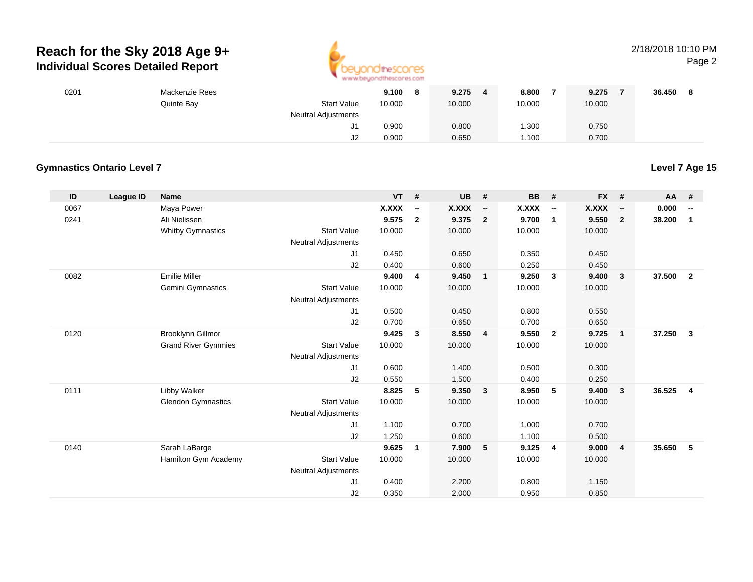

## 2/18/2018 10:10 PMPage 2

| 0201 | Mackenzie Rees |                            | 9.100<br>8 | 9.275  | 8.800  | 9.275  | 36.450 |
|------|----------------|----------------------------|------------|--------|--------|--------|--------|
|      | Quinte Bay     | <b>Start Value</b>         | 10.000     | 10.000 | 10.000 | 10.000 |        |
|      |                | <b>Neutral Adjustments</b> |            |        |        |        |        |
|      |                | J1.                        | 0.900      | 0.800  | .300   | 0.750  |        |
|      |                | J2                         | 0.900      | 0.650  | .100   | 0.700  |        |

## **Gymnastics Ontario Level 7**

**Level 7 Age 15**

| ID   | League ID | <b>Name</b>                |                            | $VT$ # |                          | <b>UB</b> | #                        | <b>BB</b> | #                        | $FX$ #       |                          | AA     | #                        |
|------|-----------|----------------------------|----------------------------|--------|--------------------------|-----------|--------------------------|-----------|--------------------------|--------------|--------------------------|--------|--------------------------|
| 0067 |           | Maya Power                 |                            | X.XXX  | $\overline{\phantom{a}}$ | X.XXX     | $\overline{\phantom{a}}$ | X.XXX     | $\overline{\phantom{a}}$ | <b>X.XXX</b> | $\overline{\phantom{a}}$ | 0.000  | $\overline{\phantom{a}}$ |
| 0241 |           | Ali Nielissen              |                            | 9.575  | $\overline{2}$           | 9.375     | $\overline{2}$           | 9.700     | $\overline{1}$           | 9.550        | $\overline{2}$           | 38.200 | $\mathbf{1}$             |
|      |           | <b>Whitby Gymnastics</b>   | <b>Start Value</b>         | 10.000 |                          | 10.000    |                          | 10.000    |                          | 10.000       |                          |        |                          |
|      |           |                            | <b>Neutral Adjustments</b> |        |                          |           |                          |           |                          |              |                          |        |                          |
|      |           |                            | J1                         | 0.450  |                          | 0.650     |                          | 0.350     |                          | 0.450        |                          |        |                          |
|      |           |                            | J2                         | 0.400  |                          | 0.600     |                          | 0.250     |                          | 0.450        |                          |        |                          |
| 0082 |           | <b>Emilie Miller</b>       |                            | 9.400  | 4                        | 9.450     | $\mathbf{1}$             | 9.250     | $\mathbf{3}$             | 9.400        | $\mathbf{3}$             | 37.500 | $\overline{2}$           |
|      |           | Gemini Gymnastics          | <b>Start Value</b>         | 10.000 |                          | 10.000    |                          | 10.000    |                          | 10.000       |                          |        |                          |
|      |           |                            | <b>Neutral Adjustments</b> |        |                          |           |                          |           |                          |              |                          |        |                          |
|      |           |                            | J1                         | 0.500  |                          | 0.450     |                          | 0.800     |                          | 0.550        |                          |        |                          |
|      |           |                            | J2                         | 0.700  |                          | 0.650     |                          | 0.700     |                          | 0.650        |                          |        |                          |
| 0120 |           | Brooklynn Gillmor          |                            | 9.425  | 3                        | 8.550     | $\overline{4}$           | 9.550     | $\overline{2}$           | 9.725        | $\overline{1}$           | 37.250 | 3                        |
|      |           | <b>Grand River Gymmies</b> | <b>Start Value</b>         | 10.000 |                          | 10.000    |                          | 10.000    |                          | 10.000       |                          |        |                          |
|      |           |                            | <b>Neutral Adjustments</b> |        |                          |           |                          |           |                          |              |                          |        |                          |
|      |           |                            | J1                         | 0.600  |                          | 1.400     |                          | 0.500     |                          | 0.300        |                          |        |                          |
|      |           |                            | J2                         | 0.550  |                          | 1.500     |                          | 0.400     |                          | 0.250        |                          |        |                          |
| 0111 |           | <b>Libby Walker</b>        |                            | 8.825  | 5                        | 9.350     | 3                        | 8.950     | 5                        | 9.400        | $\mathbf{3}$             | 36.525 | $\overline{4}$           |
|      |           | <b>Glendon Gymnastics</b>  | <b>Start Value</b>         | 10.000 |                          | 10.000    |                          | 10.000    |                          | 10.000       |                          |        |                          |
|      |           |                            | <b>Neutral Adjustments</b> |        |                          |           |                          |           |                          |              |                          |        |                          |
|      |           |                            | J <sub>1</sub>             | 1.100  |                          | 0.700     |                          | 1.000     |                          | 0.700        |                          |        |                          |
|      |           |                            | J2                         | 1.250  |                          | 0.600     |                          | 1.100     |                          | 0.500        |                          |        |                          |
| 0140 |           | Sarah LaBarge              |                            | 9.625  | 1                        | 7.900     | 5                        | 9.125     | 4                        | 9.000        | $\overline{4}$           | 35.650 | 5                        |
|      |           | Hamilton Gym Academy       | <b>Start Value</b>         | 10.000 |                          | 10.000    |                          | 10.000    |                          | 10.000       |                          |        |                          |
|      |           |                            | <b>Neutral Adjustments</b> |        |                          |           |                          |           |                          |              |                          |        |                          |
|      |           |                            | J1                         | 0.400  |                          | 2.200     |                          | 0.800     |                          | 1.150        |                          |        |                          |
|      |           |                            | J2                         | 0.350  |                          | 2.000     |                          | 0.950     |                          | 0.850        |                          |        |                          |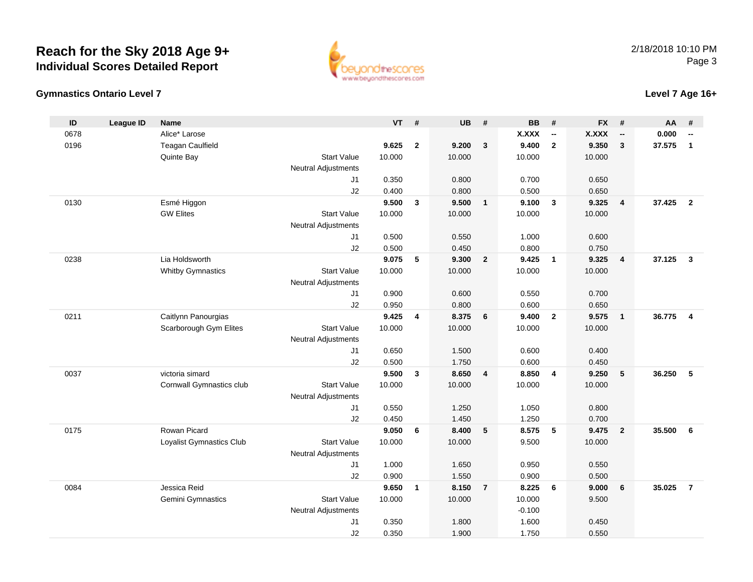## **Gymnastics Ontario Level 7**

| ID   | <b>League ID</b> | Name                     |                            | VT     | #            | <b>UB</b> | #              | <b>BB</b> | #                        | <b>FX</b>    | #                        | AA     |                |
|------|------------------|--------------------------|----------------------------|--------|--------------|-----------|----------------|-----------|--------------------------|--------------|--------------------------|--------|----------------|
| 0678 |                  | Alice* Larose            |                            |        |              |           |                | X.XXX     | $\overline{\phantom{a}}$ | <b>X.XXX</b> | $\overline{\phantom{a}}$ | 0.000  |                |
| 0196 |                  | <b>Teagan Caulfield</b>  |                            | 9.625  | $\mathbf{2}$ | 9.200     | 3              | 9.400     | $\overline{2}$           | 9.350        | $\mathbf{3}$             | 37.575 | $\mathbf{1}$   |
|      |                  | Quinte Bay               | <b>Start Value</b>         | 10.000 |              | 10.000    |                | 10.000    |                          | 10.000       |                          |        |                |
|      |                  |                          | <b>Neutral Adjustments</b> |        |              |           |                |           |                          |              |                          |        |                |
|      |                  |                          | J <sub>1</sub>             | 0.350  |              | 0.800     |                | 0.700     |                          | 0.650        |                          |        |                |
|      |                  |                          | J2                         | 0.400  |              | 0.800     |                | 0.500     |                          | 0.650        |                          |        |                |
| 0130 |                  | Esmé Higgon              |                            | 9.500  | 3            | 9.500     | $\mathbf{1}$   | 9.100     | 3                        | 9.325        | $\overline{4}$           | 37.425 | $\overline{2}$ |
|      |                  | <b>GW Elites</b>         | <b>Start Value</b>         | 10.000 |              | 10.000    |                | 10.000    |                          | 10.000       |                          |        |                |
|      |                  |                          | <b>Neutral Adjustments</b> |        |              |           |                |           |                          |              |                          |        |                |
|      |                  |                          | J <sub>1</sub>             | 0.500  |              | 0.550     |                | 1.000     |                          | 0.600        |                          |        |                |
|      |                  |                          | J2                         | 0.500  |              | 0.450     |                | 0.800     |                          | 0.750        |                          |        |                |
| 0238 |                  | Lia Holdsworth           |                            | 9.075  | 5            | 9.300     | $\overline{2}$ | 9.425     | $\mathbf{1}$             | 9.325        | 4                        | 37.125 | 3              |
|      |                  | <b>Whitby Gymnastics</b> | <b>Start Value</b>         | 10.000 |              | 10.000    |                | 10.000    |                          | 10.000       |                          |        |                |
|      |                  |                          | <b>Neutral Adjustments</b> |        |              |           |                |           |                          |              |                          |        |                |
|      |                  |                          | J1                         | 0.900  |              | 0.600     |                | 0.550     |                          | 0.700        |                          |        |                |
|      |                  |                          | J2                         | 0.950  |              | 0.800     |                | 0.600     |                          | 0.650        |                          |        |                |
| 0211 |                  | Caitlynn Panourgias      |                            | 9.425  | 4            | 8.375     | 6              | 9.400     | $\mathbf{2}$             | 9.575        | $\mathbf{1}$             | 36.775 |                |
|      |                  | Scarborough Gym Elites   | <b>Start Value</b>         | 10.000 |              | 10.000    |                | 10.000    |                          | 10.000       |                          |        |                |
|      |                  |                          | <b>Neutral Adjustments</b> |        |              |           |                |           |                          |              |                          |        |                |
|      |                  |                          | J <sub>1</sub>             | 0.650  |              | 1.500     |                | 0.600     |                          | 0.400        |                          |        |                |
|      |                  |                          | J2                         | 0.500  |              | 1.750     |                | 0.600     |                          | 0.450        |                          |        |                |
| 0037 |                  | victoria simard          |                            | 9.500  | 3            | 8.650     | 4              | 8.850     | 4                        | 9.250        | 5                        | 36.250 | 5              |
|      |                  | Cornwall Gymnastics club | <b>Start Value</b>         | 10.000 |              | 10.000    |                | 10.000    |                          | 10.000       |                          |        |                |
|      |                  |                          | <b>Neutral Adjustments</b> |        |              |           |                |           |                          |              |                          |        |                |
|      |                  |                          | J <sub>1</sub>             | 0.550  |              | 1.250     |                | 1.050     |                          | 0.800        |                          |        |                |
|      |                  |                          | J2                         | 0.450  |              | 1.450     |                | 1.250     |                          | 0.700        |                          |        |                |
| 0175 |                  | Rowan Picard             |                            | 9.050  | 6            | 8.400     | 5              | 8.575     | 5                        | 9.475        | $\overline{2}$           | 35.500 |                |
|      |                  | Loyalist Gymnastics Club | <b>Start Value</b>         | 10.000 |              | 10.000    |                | 9.500     |                          | 10.000       |                          |        |                |
|      |                  |                          | <b>Neutral Adjustments</b> |        |              |           |                |           |                          |              |                          |        |                |
|      |                  |                          | J1                         | 1.000  |              | 1.650     |                | 0.950     |                          | 0.550        |                          |        |                |
|      |                  |                          | J2                         | 0.900  |              | 1.550     |                | 0.900     |                          | 0.500        |                          |        |                |
| 0084 |                  | Jessica Reid             |                            | 9.650  | $\mathbf{1}$ | 8.150     | $\overline{7}$ | 8.225     | 6                        | 9.000        | 6                        | 35.025 | 7              |
|      |                  | Gemini Gymnastics        | <b>Start Value</b>         | 10.000 |              | 10.000    |                | 10.000    |                          | 9.500        |                          |        |                |
|      |                  |                          | <b>Neutral Adjustments</b> |        |              |           |                | $-0.100$  |                          |              |                          |        |                |

J1

J2

 $-0.100$ 

0.350 1.800 1.600 0.450

0.350 1.900 1.750 0.550

1.600



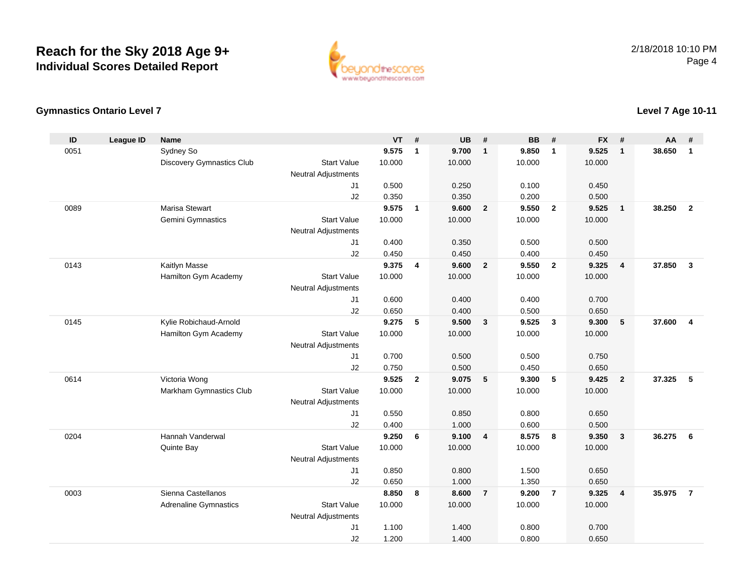

### **Gymnastics Ontario Level 7**

#### **ID League ID Name VT # UB # BB # FX # AA #** 0051 Sydney So **9.575 <sup>1</sup> 9.700 <sup>1</sup> 9.850 <sup>1</sup> 9.525 <sup>1</sup> 38.650 <sup>1</sup>** Discovery Gymnastics Club Start Value 10.000 10.000 10.000 10.000 Neutral Adjustments J1 0.500 0.250 0.100 0.450 J2 0.350 0.350 0.200 0.500 0089 Marisa Stewart **9.575 <sup>1</sup> 9.600 <sup>2</sup> 9.550 <sup>2</sup> 9.525 <sup>1</sup> 38.250 <sup>2</sup>** Gemini Gymnastics Start Valuee 10.000 10.000 10.000 10.000 Neutral Adjustments J1 0.400 0.350 0.500 0.500 J2 0.450 0.450 0.400 0.450 0143 Kaitlyn Masse **9.375 <sup>4</sup> 9.600 <sup>2</sup> 9.550 <sup>2</sup> 9.325 <sup>4</sup> 37.850 <sup>3</sup>** Hamilton Gym Academy Start Valuee 10.000 10.000 10.000 10.000 Neutral Adjustments J1 0.600 0.400 0.400 0.700 J2 0.650 0.400 0.500 0.650 0145 Kylie Robichaud-Arnold **9.275 <sup>5</sup> 9.500 <sup>3</sup> 9.525 <sup>3</sup> 9.300 <sup>5</sup> 37.600 <sup>4</sup>** Hamilton Gym Academy Start Valuee 10.000 10.000 10.000 10.000 Neutral Adjustments J1 0.700 0.500 0.500 0.750 J2 0.750 0.500 0.450 0.650 0614 Victoria Wong **9.525 <sup>2</sup> 9.075 <sup>5</sup> 9.300 <sup>5</sup> 9.425 <sup>2</sup> 37.325 <sup>5</sup>** Markham Gymnastics Clubb 3tart Value 10.000 10.000 10.000 10.000 10.000 Neutral Adjustments J1 0.550 0.850 0.800 0.650 J22 0.400 1.000 0.600 0.500 0204 Hannah Vanderwal **9.250 <sup>6</sup> 9.100 <sup>4</sup> 8.575 <sup>8</sup> 9.350 <sup>3</sup> 36.275 <sup>6</sup>** Quinte Bay Start Valuee 10.000 10.000 10.000 10.000 Neutral Adjustments J1 0.850 0.800 1.500 0.650 J2 0.650 1.000 1.350 0.650 0003 Sienna Castellanos **8.850 <sup>8</sup> 8.600 <sup>7</sup> 9.200 <sup>7</sup> 9.325 <sup>4</sup> 35.975 <sup>7</sup>** Adrenaline Gymnastics Start Valuee 10.000 10.000 10.000 10.000 Neutral Adjustments J1 1.100 1.400 0.800 0.700 J21.200 1.400 0.800 0.650

## **Level 7 Age 10-11**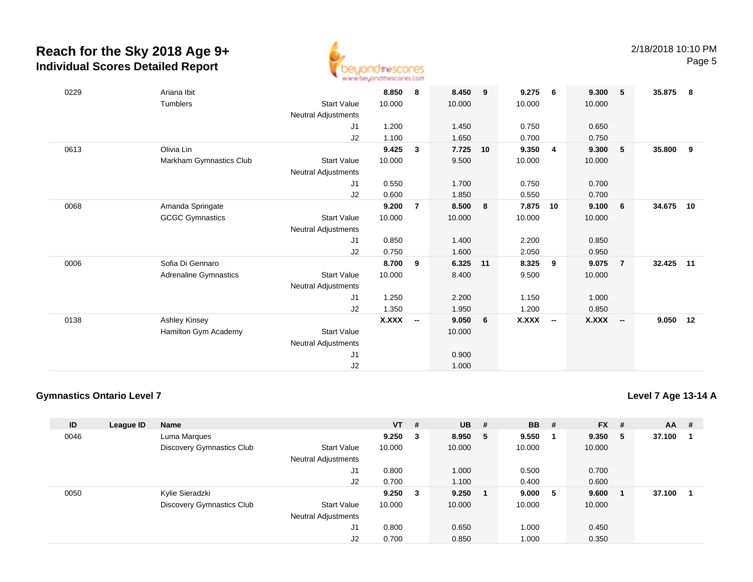

| 0229 | Ariana Ibit             |                     | 8.850        | 8                        | 8.450  | 9  | 9.275        | - 6            | 9.300        | 5              | 35.875   | - 8 |
|------|-------------------------|---------------------|--------------|--------------------------|--------|----|--------------|----------------|--------------|----------------|----------|-----|
|      | Tumblers                | <b>Start Value</b>  | 10.000       |                          | 10.000 |    | 10.000       |                | 10.000       |                |          |     |
|      |                         | Neutral Adjustments |              |                          |        |    |              |                |              |                |          |     |
|      |                         | J1                  | 1.200        |                          | 1.450  |    | 0.750        |                | 0.650        |                |          |     |
|      |                         | J2                  | 1.100        |                          | 1.650  |    | 0.700        |                | 0.750        |                |          |     |
| 0613 | Olivia Lin              |                     | 9.425        | $\mathbf{3}$             | 7.725  | 10 | 9.350        | $\overline{4}$ | 9.300        | 5              | 35.800   | - 9 |
|      | Markham Gymnastics Club | <b>Start Value</b>  | 10.000       |                          | 9.500  |    | 10.000       |                | 10.000       |                |          |     |
|      |                         | Neutral Adjustments |              |                          |        |    |              |                |              |                |          |     |
|      |                         | J1                  | 0.550        |                          | 1.700  |    | 0.750        |                | 0.700        |                |          |     |
|      |                         | J2                  | 0.600        |                          | 1.850  |    | 0.550        |                | 0.700        |                |          |     |
| 0068 | Amanda Springate        |                     | 9.200        | $\overline{7}$           | 8.500  | 8  | 7.875        | 10             | 9.100        | - 6            | 34.675   | 10  |
|      | <b>GCGC Gymnastics</b>  | <b>Start Value</b>  | 10.000       |                          | 10.000 |    | 10.000       |                | 10.000       |                |          |     |
|      |                         | Neutral Adjustments |              |                          |        |    |              |                |              |                |          |     |
|      |                         | J1                  | 0.850        |                          | 1.400  |    | 2.200        |                | 0.850        |                |          |     |
|      |                         | J2                  | 0.750        |                          | 1.600  |    | 2.050        |                | 0.950        |                |          |     |
| 0006 | Sofia Di Gennaro        |                     | 8.700        | 9                        | 6.325  | 11 | 8.325        | 9              | 9.075        | $\overline{7}$ | 32.425   | 11  |
|      | Adrenaline Gymnastics   | <b>Start Value</b>  | 10.000       |                          | 8.400  |    | 9.500        |                | 10.000       |                |          |     |
|      |                         | Neutral Adjustments |              |                          |        |    |              |                |              |                |          |     |
|      |                         | J1                  | 1.250        |                          | 2.200  |    | 1.150        |                | 1.000        |                |          |     |
|      |                         | J2                  | 1.350        |                          | 1.950  |    | 1.200        |                | 0.850        |                |          |     |
| 0138 | Ashley Kinsey           |                     | <b>X.XXX</b> | $\overline{\phantom{a}}$ | 9.050  | 6  | <b>X.XXX</b> | $\sim$         | <b>X.XXX</b> | $\sim$         | 9.050 12 |     |
|      | Hamilton Gym Academy    | <b>Start Value</b>  |              |                          | 10.000 |    |              |                |              |                |          |     |
|      |                         | Neutral Adjustments |              |                          |        |    |              |                |              |                |          |     |
|      |                         | J <sub>1</sub>      |              |                          | 0.900  |    |              |                |              |                |          |     |
|      |                         | J2                  |              |                          | 1.000  |    |              |                |              |                |          |     |

## **Gymnastics Ontario Level 7**

**Level 7 Age 13-14 A**

| ID   | League ID | <b>Name</b>                      |                            | <b>VT</b> | - #                     | <b>UB</b> | #   | <b>BB</b> | # | $FX$ # |   | <b>AA</b> | - # |
|------|-----------|----------------------------------|----------------------------|-----------|-------------------------|-----------|-----|-----------|---|--------|---|-----------|-----|
| 0046 |           | Luma Marques                     |                            | 9.250     | - 3                     | 8.950     | -5  | 9.550     |   | 9.350  | 5 | 37.100    |     |
|      |           | <b>Discovery Gymnastics Club</b> | <b>Start Value</b>         | 10.000    |                         | 10.000    |     | 10.000    |   | 10.000 |   |           |     |
|      |           |                                  | <b>Neutral Adjustments</b> |           |                         |           |     |           |   |        |   |           |     |
|      |           |                                  | J <sub>1</sub>             | 0.800     |                         | 1.000     |     | 0.500     |   | 0.700  |   |           |     |
|      |           |                                  | J2                         | 0.700     |                         | 1.100     |     | 0.400     |   | 0.600  |   |           |     |
| 0050 |           | Kylie Sieradzki                  |                            | 9.250     | $\overline{\mathbf{3}}$ | 9.250     | - 1 | 9.000     | 5 | 9.600  |   | 37.100    |     |
|      |           | <b>Discovery Gymnastics Club</b> | <b>Start Value</b>         | 10.000    |                         | 10.000    |     | 10.000    |   | 10.000 |   |           |     |
|      |           |                                  | <b>Neutral Adjustments</b> |           |                         |           |     |           |   |        |   |           |     |
|      |           |                                  | J <sub>1</sub>             | 0.800     |                         | 0.650     |     | 1.000     |   | 0.450  |   |           |     |
|      |           |                                  | J <sub>2</sub>             | 0.700     |                         | 0.850     |     | 1.000     |   | 0.350  |   |           |     |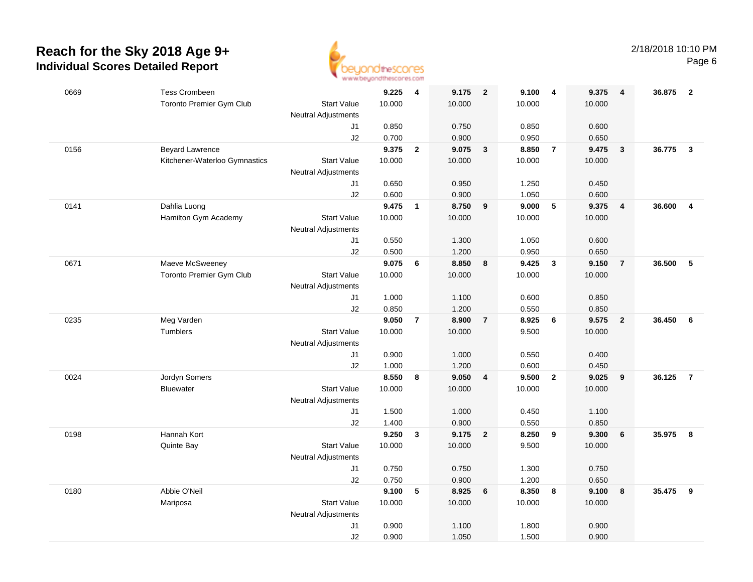

| 0669 | <b>Tess Crombeen</b>          |                            | 9.225  | $\overline{\mathbf{4}}$ | 9.175  | $\overline{\mathbf{2}}$ | 9.100  | $\overline{\mathbf{4}}$ | 9.375  | $\overline{4}$          | 36.875   | $\overline{2}$          |
|------|-------------------------------|----------------------------|--------|-------------------------|--------|-------------------------|--------|-------------------------|--------|-------------------------|----------|-------------------------|
|      | Toronto Premier Gym Club      | <b>Start Value</b>         | 10.000 |                         | 10.000 |                         | 10.000 |                         | 10.000 |                         |          |                         |
|      |                               | <b>Neutral Adjustments</b> |        |                         |        |                         |        |                         |        |                         |          |                         |
|      |                               | J1                         | 0.850  |                         | 0.750  |                         | 0.850  |                         | 0.600  |                         |          |                         |
|      |                               | J2                         | 0.700  |                         | 0.900  |                         | 0.950  |                         | 0.650  |                         |          |                         |
| 0156 | <b>Beyard Lawrence</b>        |                            | 9.375  | $\overline{2}$          | 9.075  | $\mathbf{3}$            | 8.850  | $\overline{7}$          | 9.475  | $\mathbf{3}$            | 36.775   | $\mathbf{3}$            |
|      | Kitchener-Waterloo Gymnastics | <b>Start Value</b>         | 10.000 |                         | 10.000 |                         | 10.000 |                         | 10.000 |                         |          |                         |
|      |                               | <b>Neutral Adjustments</b> |        |                         |        |                         |        |                         |        |                         |          |                         |
|      |                               | J1                         | 0.650  |                         | 0.950  |                         | 1.250  |                         | 0.450  |                         |          |                         |
|      |                               | J2                         | 0.600  |                         | 0.900  |                         | 1.050  |                         | 0.600  |                         |          |                         |
| 0141 | Dahlia Luong                  |                            | 9.475  | $\mathbf{1}$            | 8.750  | 9                       | 9.000  | $5\phantom{.0}$         | 9.375  | $\overline{4}$          | 36.600   | $\overline{\mathbf{4}}$ |
|      | Hamilton Gym Academy          | <b>Start Value</b>         | 10.000 |                         | 10.000 |                         | 10.000 |                         | 10.000 |                         |          |                         |
|      |                               | Neutral Adjustments        |        |                         |        |                         |        |                         |        |                         |          |                         |
|      |                               | J1                         | 0.550  |                         | 1.300  |                         | 1.050  |                         | 0.600  |                         |          |                         |
|      |                               | J2                         | 0.500  |                         | 1.200  |                         | 0.950  |                         | 0.650  |                         |          |                         |
| 0671 | Maeve McSweeney               |                            | 9.075  | 6                       | 8.850  | 8                       | 9.425  | $\overline{\mathbf{3}}$ | 9.150  | $\overline{7}$          | 36.500   | 5                       |
|      | Toronto Premier Gym Club      | <b>Start Value</b>         | 10.000 |                         | 10.000 |                         | 10.000 |                         | 10.000 |                         |          |                         |
|      |                               | Neutral Adjustments        |        |                         |        |                         |        |                         |        |                         |          |                         |
|      |                               | J1                         | 1.000  |                         | 1.100  |                         | 0.600  |                         | 0.850  |                         |          |                         |
|      |                               | J2                         | 0.850  |                         | 1.200  |                         | 0.550  |                         | 0.850  |                         |          |                         |
| 0235 | Meg Varden                    |                            | 9.050  | $\overline{7}$          | 8.900  | $\overline{7}$          | 8.925  | $6\phantom{1}6$         | 9.575  | $\overline{\mathbf{2}}$ | 36.450   | - 6                     |
|      | Tumblers                      | <b>Start Value</b>         | 10.000 |                         | 10.000 |                         | 9.500  |                         | 10.000 |                         |          |                         |
|      |                               | Neutral Adjustments        |        |                         |        |                         |        |                         |        |                         |          |                         |
|      |                               | J1                         | 0.900  |                         | 1.000  |                         | 0.550  |                         | 0.400  |                         |          |                         |
|      |                               | J2                         | 1.000  |                         | 1.200  |                         | 0.600  |                         | 0.450  |                         |          |                         |
| 0024 | Jordyn Somers                 |                            | 8.550  | 8                       | 9.050  | $\overline{4}$          | 9.500  | $\overline{\mathbf{2}}$ | 9.025  | 9                       | 36.125   | $\overline{7}$          |
|      | <b>Bluewater</b>              | <b>Start Value</b>         | 10.000 |                         | 10.000 |                         | 10.000 |                         | 10.000 |                         |          |                         |
|      |                               | <b>Neutral Adjustments</b> |        |                         |        |                         |        |                         |        |                         |          |                         |
|      |                               | J1                         | 1.500  |                         | 1.000  |                         | 0.450  |                         | 1.100  |                         |          |                         |
|      |                               | J2                         | 1.400  |                         | 0.900  |                         | 0.550  |                         | 0.850  |                         |          |                         |
| 0198 | Hannah Kort                   |                            | 9.250  | $\mathbf{3}$            | 9.175  | $\overline{\mathbf{2}}$ | 8.250  | $\overline{9}$          | 9.300  | 6                       | 35.975   | 8                       |
|      | Quinte Bay                    | <b>Start Value</b>         | 10.000 |                         | 10.000 |                         | 9.500  |                         | 10.000 |                         |          |                         |
|      |                               | <b>Neutral Adjustments</b> |        |                         |        |                         |        |                         |        |                         |          |                         |
|      |                               | J1                         | 0.750  |                         | 0.750  |                         | 1.300  |                         | 0.750  |                         |          |                         |
|      |                               | J2                         | 0.750  |                         | 0.900  |                         | 1.200  |                         | 0.650  |                         |          |                         |
| 0180 | Abbie O'Neil                  |                            | 9.100  | 5                       | 8.925  | 6                       | 8.350  | 8                       | 9.100  | 8                       | 35.475 9 |                         |
|      | Mariposa                      | <b>Start Value</b>         | 10.000 |                         | 10.000 |                         | 10.000 |                         | 10.000 |                         |          |                         |
|      |                               | Neutral Adjustments        |        |                         |        |                         |        |                         |        |                         |          |                         |
|      |                               | J1                         | 0.900  |                         | 1.100  |                         | 1.800  |                         | 0.900  |                         |          |                         |
|      |                               | J2                         | 0.900  |                         | 1.050  |                         | 1.500  |                         | 0.900  |                         |          |                         |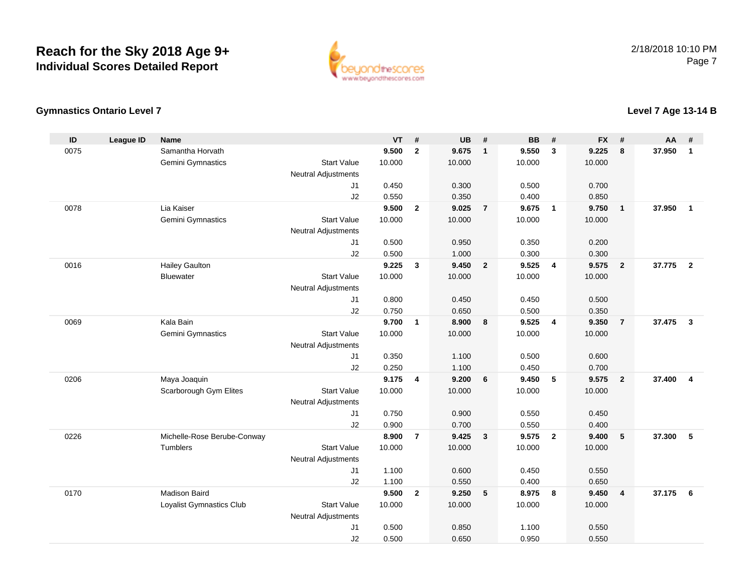

**Level 7 Age 13-14 B**

### **Gymnastics Ontario Level 7**

#### **ID League ID Name VT # UB # BB # FX # AA #** 0075 Samantha Horvath **9.500 <sup>2</sup> 9.675 <sup>1</sup> 9.550 <sup>3</sup> 9.225 <sup>8</sup> 37.950 <sup>1</sup>** Gemini Gymnastics Start Valuee 10.000 10.000 10.000 10.000 Neutral Adjustments J1 0.450 0.300 0.500 0.700 J2 0.550 0.350 0.400 0.850 0078 Lia Kaiser **9.500 <sup>2</sup> 9.025 <sup>7</sup> 9.675 <sup>1</sup> 9.750 <sup>1</sup> 37.950 <sup>1</sup>** Gemini Gymnastics Start Valuee 10.000 10.000 10.000 10.000 Neutral Adjustments J1 0.500 0.950 0.350 0.200 J22 0.500 1.000 0.300 0.300 0016 Hailey Gaulton **9.225 <sup>3</sup> 9.450 <sup>2</sup> 9.525 <sup>4</sup> 9.575 <sup>2</sup> 37.775 <sup>2</sup>** Bluewater Start Valuee 10.000 10.000 10.000 10.000 Neutral Adjustments J1 0.800 0.450 0.450 0.500 J2 0.750 0.650 0.500 0.350 0069 Kala Bain **9.700 <sup>1</sup> 8.900 <sup>8</sup> 9.525 <sup>4</sup> 9.350 <sup>7</sup> 37.475 <sup>3</sup>** Gemini Gymnastics Start Valuee 10.000 10.000 10.000 10.000 Neutral Adjustments J1 0.350 1.100 0.500 0.600 J2 0.250 1.100 0.450 0.700 0206 Maya Joaquin **9.175 <sup>4</sup> 9.200 <sup>6</sup> 9.450 <sup>5</sup> 9.575 <sup>2</sup> 37.400 <sup>4</sup>** Scarborough Gym Elites Start Valuee 10.000 10.000 10.000 10.000 Neutral Adjustments J1 0.750 0.900 0.550 0.450 J2 0.900 0.700 0.550 0.400 0226 Michelle-Rose Berube-Conway **8.900 <sup>7</sup> 9.425 <sup>3</sup> 9.575 <sup>2</sup> 9.400 <sup>5</sup> 37.300 <sup>5</sup> Tumblers**  Start Valuee 10.000 10.000 10.000 10.000 Neutral Adjustments J1 1.100 0.600 0.450 0.550 J2 1.100 0.550 0.400 0.650 0170 Madison Baird **9.500 <sup>2</sup> 9.250 <sup>5</sup> 8.975 <sup>8</sup> 9.450 <sup>4</sup> 37.175 <sup>6</sup>** Loyalist Gymnastics Club Start Value 10.000 10.000 10.000 10.000 Neutral Adjustments J1 0.500 0.850 1.100 0.550 J20.500 0.650 0.950 0.550